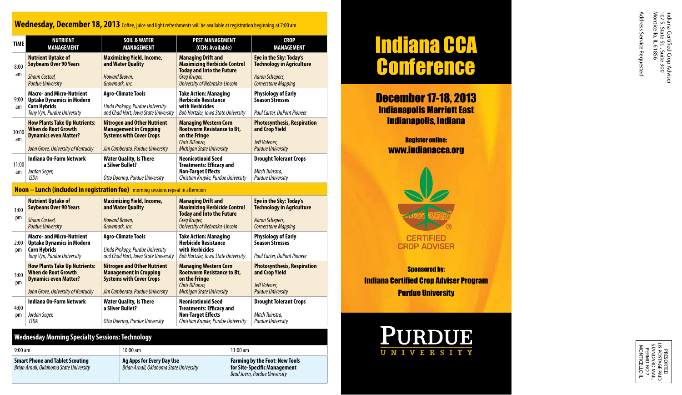# Wednesday, December 18, 2013 Coffee, juice and light refreshments will be available at registration beginning at 7:00 am

| <b>TIME</b> | <b>NUTRIENT</b><br>MANAGEMENT                                                                                                            | <b>SOIL &amp; WATER</b><br><b>MANAGEMENT</b>                                                                                               | <b>PEST MANAGEMENT</b><br>(CCHs Available)                                                                                                             | <b>CROP</b><br><b>MANAGEMENT</b>                                                                             |
|-------------|------------------------------------------------------------------------------------------------------------------------------------------|--------------------------------------------------------------------------------------------------------------------------------------------|--------------------------------------------------------------------------------------------------------------------------------------------------------|--------------------------------------------------------------------------------------------------------------|
| 8:00<br>am  | <b>Nutrient Uptake of</b><br><b>Soybeans Over 90 Years</b><br><b>Shaun Casteel,</b><br><b>Purdue University</b>                          | <b>Maximizing Yield, Income,</b><br>and Water Quality<br>Howard Brown.<br>Growmark, Inc.                                                   | <b>Managing Drift and</b><br><b>Maximizing Herbicide Control</b><br><b>Today and Into the Future</b><br>Greg Kruger,<br>University of Nebraska-Lincoln | Eye in the Sky: Today's<br><b>Technology in Agriculture</b><br>Aaron Schepers,<br><b>Cornerstone Mapping</b> |
| 9:00<br>am  | <b>Macro- and Micro-Nutrient</b><br><b>Uptake Dynamics in Modern</b><br><b>Corn Hybrids</b><br>Tony Vyn, Purdue University               | <b>Agro-Climate Tools</b><br>Linda Prokopy, Purdue University<br>and Chad Hart, Iowa State University                                      | <b>Take Action: Managing</b><br><b>Herbicide Resistance</b><br>with Herbicides<br><b>Bob Hartzler, Iowa State University</b>                           | <b>Physiology of Early</b><br><b>Season Stresses</b><br>Paul Carter. DuPont Pioneer                          |
| 10:00<br>am | <b>How Plants Take Up Nutrients:</b><br><b>When do Root Growth</b><br><b>Dynamics even Matter?</b><br>John Grove, University of Kentucky | <b>Nitrogen and Other Nutrient</b><br><b>Management in Cropping</b><br><b>Systems with Cover Crops</b><br>Jim Camberato, Purdue University | <b>Managing Western Corn</b><br><b>Rootworm Resistance to Bt.</b><br>on the Fringe<br>Chris DiFonzo,<br><b>Michigan State University</b>               | <b>Photosynthesis, Respiration</b><br>and Crop Yield<br>Jeff Volenec.<br><b>Purdue University</b>            |
| 11:00<br>am | Indiana On-Farm Network<br>Jordan Seger,<br>ISDA                                                                                         | <b>Water Quality, Is There</b><br>a Silver Bullet?<br>Otto Doering, Purdue University                                                      | <b>Neonicotinoid Seed</b><br><b>Treatments: Efficacy and</b><br><b>Non-Target Effects</b><br>Christian Krupke, Purdue University                       | <b>Drought Tolerant Crops</b><br>Mitch Tuinstra,<br><b>Purdue University</b>                                 |

# **Noon – Lunch (included in registration fee)** morning sessions repeat in afternoon

| 1:00<br>pm | <b>Nutrient Uptake of</b><br><b>Soybeans Over 90 Years</b><br><b>Shaun Casteel.</b><br><b>Purdue University</b>                          | Maximizing Yield, Income,<br>and Water Quality<br>Howard Brown.<br>Growmark, Inc.                                                          | <b>Managing Drift and</b><br><b>Maximizing Herbicide Control</b><br><b>Today and Into the Future</b><br>Greg Kruger,<br>University of Nebraska-Lincoln | Eye in the Sky: Today's<br><b>Technology in Agriculture</b><br>Aaron Schepers,<br><b>Cornerstone Mapping</b> |
|------------|------------------------------------------------------------------------------------------------------------------------------------------|--------------------------------------------------------------------------------------------------------------------------------------------|--------------------------------------------------------------------------------------------------------------------------------------------------------|--------------------------------------------------------------------------------------------------------------|
| 2:00<br>pm | <b>Macro- and Micro-Nutrient</b><br><b>Uptake Dynamics in Modern</b><br><b>Corn Hybrids</b><br>Tony Vyn, Purdue University               | <b>Agro-Climate Tools</b><br>Linda Prokopy, Purdue University<br>and Chad Hart, Iowa State University                                      | <b>Take Action: Managing</b><br><b>Herbicide Resistance</b><br>with Herbicides<br>Bob Hartzler, Iowa State University                                  | <b>Physiology of Early</b><br><b>Season Stresses</b><br><b>Paul Carter, DuPont Pioneer</b>                   |
| 3:00<br>pm | <b>How Plants Take Up Nutrients:</b><br><b>When do Root Growth</b><br><b>Dynamics even Matter?</b><br>John Grove, University of Kentucky | <b>Nitrogen and Other Nutrient</b><br><b>Management in Cropping</b><br><b>Systems with Cover Crops</b><br>Jim Camberato, Purdue University | <b>Managing Western Corn</b><br><b>Rootworm Resistance to Bt,</b><br>on the Fringe<br>Chris DiFonzo.<br><b>Michigan State University</b>               | <b>Photosynthesis, Respiration</b><br>and Crop Yield<br>Jeff Volenec.<br><b>Purdue University</b>            |
| 4:00<br>pm | Indiana On-Farm Network<br>Jordan Seger,<br>ISDA                                                                                         | <b>Water Quality, Is There</b><br>a Silver Bullet?<br>Otto Doering, Purdue University                                                      | <b>Neonicotinoid Seed</b><br><b>Treatments: Efficacy and</b><br><b>Non-Target Effects</b><br>Christian Krupke, Purdue University                       | <b>Drought Tolerant Crops</b><br>Mitch Tuinstra.<br><b>Purdue University</b>                                 |

## **Wednesday Morning Specialty Sessions: Technology**

| $9:00$ am                                                                         | $10:00$ am                                                           | $11:00$ am                                                                                             |
|-----------------------------------------------------------------------------------|----------------------------------------------------------------------|--------------------------------------------------------------------------------------------------------|
| <b>Smart Phone and Tablet Scouting</b><br>Brian Arnall, Oklahoma State University | Ag Apps for Every Day Use<br>Brian Arnall, Oklahoma State University | <b>Farming by the Foot: New Tools</b><br>for Site-Specific Management<br>Brad Joern, Purdue University |

# Indiana CCA **Conference**

December 17-18, 2013 Indianapolis Marriott East Indianapolis, Indiana

# Register online: www.indianacca.org



**Sponsored by:** Indiana Certified Crop Adviser Program Purdue University



Address Service Requested

US POSTAGE PP<br>STANDARD MA<br>PERMIT NO 7<br>MONTICELLO US POSTAGE PAID STANDARD MAIL MONTICELLO IL PERMIT NO 7 PRESORTED